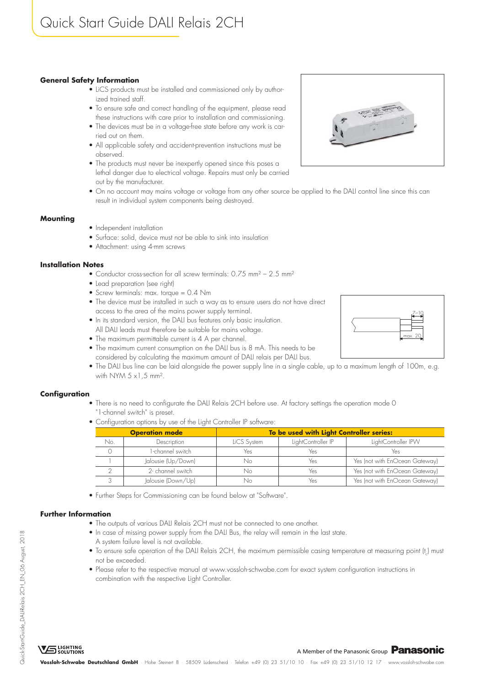# **General Safety Information**

- LiCS products must be installed and commissioned only by authorized trained staff.
- To ensure safe and correct handling of the equipment, please read these instructions with care prior to installation and commissioning.
- The devices must be in a voltage-free state before any work is carried out on them.
- All applicable safety and accident-prevention instructions must be observed.
- The products must never be inexpertly opened since this poses a lethal danger due to electrical voltage. Repairs must only be carried out by the manufacturer.
- On no account may mains voltage or voltage from any other source be applied to the DALI control line since this can result in individual system components being destroyed.

# **Mounting**

- Independent installation
- Surface: solid, device must not be able to sink into insulation
- Attachment: using 4-mm screws

# **Installation Notes**

- Conductor cross-section for all screw terminals: 0.75 mm<sup>2</sup> 2.5 mm<sup>2</sup>
- Lead preparation (see right)
- Screw terminals: max. torque = 0.4 Nm
- The device must be installed in such a way as to ensure users do not have direct access to the area of the mains power supply terminal.
- In its standard version, the DALI bus features only basic insulation. All DALI leads must therefore be suitable for mains voltage.
- The maximum permittable current is 4 A per channel.
- The maximum current consumption on the DALI bus is 8 mA. This needs to be considered by calculating the maximum amount of DALI relais per DALI bus.
- The DALI bus line can be laid alongside the power supply line in a single cable, up to a maximum length of 100m, e.g. with NYM  $5 \times 1, 5$  mm<sup>2</sup>.

# **Configuration**

- There is no need to configurate the DALI Relais 2CH before use. At factory settings the operation mode 0 "1-channel switch" is preset.
- Configuration options by use of the Light Controller IP software:

| <b>Operation mode</b> |                    | To be used with Light Controller series: |                    |                                |
|-----------------------|--------------------|------------------------------------------|--------------------|--------------------------------|
| No.                   | Description        | LiCS System                              | LightController IP | LightController IPW            |
|                       | 1-channel switch   | Yes                                      | Yes                | Yes                            |
|                       | Jalousie (Up/Down) | Nο                                       | Yes                | Yes (not with EnOcean Gateway) |
|                       | 2- channel switch  | Nο                                       | Yes                | Yes (not with EnOcean Gateway) |
|                       | Jalousie (Down/Up) |                                          | Yes                | Yes (not with EnOcean Gateway) |

• Further Steps for Commissioning can be found below at "Software".

# **Further Information**

- The outputs of various DALI Relais 2CH must not be connected to one another.
- In case of missing power supply from the DALI Bus, the relay will remain in the last state.
- A system failure level is not available.
- $\bullet$  To ensure safe operation of the DALI Relais 2CH, the maximum permissible casing temperature at measuring point (t<sub>c</sub>) must not be exceeded.
- Please refer to the respective manual at www.vossloh-schwabe.com for exact system configuration instructions in combination with the respective Light Controller.

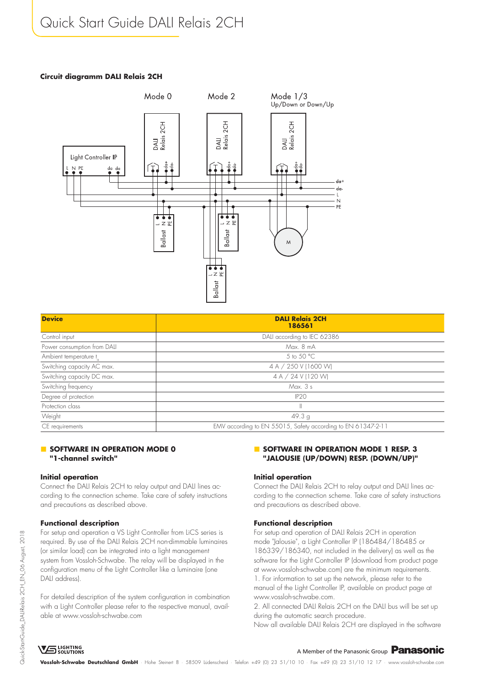# Quick Start Guide DALI Relais 2CH

#### **Circuit diagramm DALI Relais 2CH**



| <b>Device</b>                      | <b>DALI Relais 2CH</b>                                       |  |
|------------------------------------|--------------------------------------------------------------|--|
|                                    | 186561                                                       |  |
| Control input                      | DALI according to IEC 62386                                  |  |
| Power consumption from DALI        | Max, 8 mA                                                    |  |
| Ambient temperature t <sub>a</sub> | 5 to 50 °C                                                   |  |
| Switching capacity AC max.         | 4 A / 250 V (1600 W)                                         |  |
| Switching capacity DC max.         | 4 A / 24 V (120 W)                                           |  |
| Switching frequency                | Max. 3 s                                                     |  |
| Degree of protection               | IP2O                                                         |  |
| Protection class                   | Ш                                                            |  |
| Weight                             | 49.3 <sub>g</sub>                                            |  |
| CE requirements                    | EMV according to EN 55015, Safety according to EN 61347-2-11 |  |

# **SOFTWARE IN OPERATION MODE 0 "1-channel switch"**

#### **Initial operation**

Connect the DALI Relais 2CH to relay output and DALI lines according to the connection scheme. Take care of safety instructions and precautions as described above.

# **Functional description**

For setup and operation a VS Light Controller from LiCS series is required. By use of the DALI Relais 2CH non-dimmable luminaires (or similar load) can be integrated into a light management system from Vossloh-Schwabe. The relay will be displayed in the configuration menu of the Light Controller like a luminaire (one DALI address).

For detailed description of the system configuration in combination with a Light Controller please refer to the respective manual, available at www.vossloh-schwabe.com

# **SOFTWARE IN OPERATION MODE 1 RESP. 3 "JALOUSIE (UP/DOWN) RESP. (DOWN/UP)"**

#### **Initial operation**

Connect the DALI Relais 2CH to relay output and DALI lines according to the connection scheme. Take care of safety instructions and precautions as described above.

#### **Functional description**

For setup and operation of DALI Relais 2CH in operation mode "Jalousie", a Light Controller IP (186484/186485 or 186339/186340, not included in the delivery) as well as the software for the Light Controller IP (download from product page at www.vossloh-schwabe.com) are the minimum requirements. 1. For information to set up the network, please refer to the manual of the Light Controller IP, available on product page at www.vossloh-schwabe.com.

2. All connected DALI Relais 2CH on the DALI bus will be set up during the automatic search procedure.

Now all available DALI Relais 2CH are displayed in the software

# **VG** SOLUTIONS

# A Member of the Panasonic Group **Panasonic**

**Vossloh-Schwabe Deutschland GmbH** · Hohe Steinert 8 · 58509 Lüdenscheid · Telefon +49 (0) 23 51/10 10 · Fax +49 (0) 23 51/10 12 17 · www.vossloh-schwabe.com